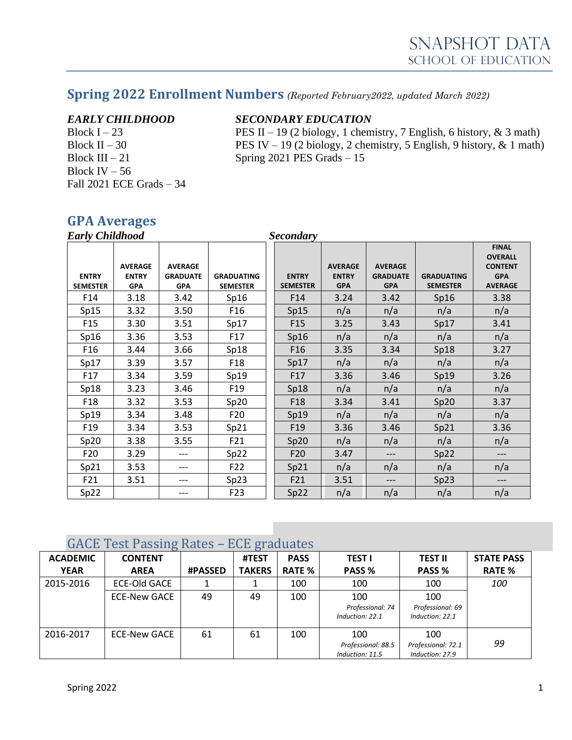# **Spring 2022 Enrollment Numbers** *(Reported February2022, updated March 2022)*

Block IV – 56 Fall 2021 ECE Grads – 34

### *EARLY CHILDHOOD SECONDARY EDUCATION*

Block I – 23 PES II – 19 (2 biology, 1 chemistry, 7 English, 6 history, & 3 math) Block II – 30 PES IV – 19 (2 biology, 2 chemistry, 5 English, 9 history,  $\&$  1 math) Block III – 21 Spring 2021 PES Grads – 15

## **GPA Averages**

| <b>Early Childhood</b>          |                                              |                                                 |                                      | <b>Secondary</b>                |                                              |                                                 |                                      |                                                                                  |
|---------------------------------|----------------------------------------------|-------------------------------------------------|--------------------------------------|---------------------------------|----------------------------------------------|-------------------------------------------------|--------------------------------------|----------------------------------------------------------------------------------|
| <b>ENTRY</b><br><b>SEMESTER</b> | <b>AVERAGE</b><br><b>ENTRY</b><br><b>GPA</b> | <b>AVERAGE</b><br><b>GRADUATE</b><br><b>GPA</b> | <b>GRADUATING</b><br><b>SEMESTER</b> | <b>ENTRY</b><br><b>SEMESTER</b> | <b>AVERAGE</b><br><b>ENTRY</b><br><b>GPA</b> | <b>AVERAGE</b><br><b>GRADUATE</b><br><b>GPA</b> | <b>GRADUATING</b><br><b>SEMESTER</b> | <b>FINAL</b><br><b>OVERALL</b><br><b>CONTENT</b><br><b>GPA</b><br><b>AVERAGE</b> |
| F14                             | 3.18                                         | 3.42                                            | Sp16                                 | F <sub>14</sub>                 | 3.24                                         | 3.42                                            | Sp16                                 | 3.38                                                                             |
| Sp15                            | 3.32                                         | 3.50                                            | F <sub>16</sub>                      | Sp15                            | n/a                                          | n/a                                             | n/a                                  | n/a                                                                              |
| F <sub>15</sub>                 | 3.30                                         | 3.51                                            | Sp17                                 | F <sub>15</sub>                 | 3.25                                         | 3.43                                            | Sp17                                 | 3.41                                                                             |
| Sp16                            | 3.36                                         | 3.53                                            | F17                                  | Sp16                            | n/a                                          | n/a                                             | n/a                                  | n/a                                                                              |
| F <sub>16</sub>                 | 3.44                                         | 3.66                                            | Sp18                                 | F <sub>16</sub>                 | 3.35                                         | 3.34                                            | Sp18                                 | 3.27                                                                             |
| Sp17                            | 3.39                                         | 3.57                                            | F <sub>18</sub>                      | Sp17                            | n/a                                          | n/a                                             | n/a                                  | n/a                                                                              |
| F17                             | 3.34                                         | 3.59                                            | Sp19                                 | F17                             | 3.36                                         | 3.46                                            | Sp19                                 | 3.26                                                                             |
| Sp18                            | 3.23                                         | 3.46                                            | F <sub>19</sub>                      | Sp18                            | n/a                                          | n/a                                             | n/a                                  | n/a                                                                              |
| F <sub>18</sub>                 | 3.32                                         | 3.53                                            | Sp20                                 | F <sub>18</sub>                 | 3.34                                         | 3.41                                            | Sp20                                 | 3.37                                                                             |
| Sp19                            | 3.34                                         | 3.48                                            | F20                                  | Sp19                            | n/a                                          | n/a                                             | n/a                                  | n/a                                                                              |
| F <sub>19</sub>                 | 3.34                                         | 3.53                                            | Sp21                                 | F <sub>19</sub>                 | 3.36                                         | 3.46                                            | Sp21                                 | 3.36                                                                             |
| Sp20                            | 3.38                                         | 3.55                                            | F21                                  | Sp20                            | n/a                                          | n/a                                             | n/a                                  | n/a                                                                              |
| F20                             | 3.29                                         | ---                                             | Sp22                                 | F20                             | 3.47                                         | ---                                             | Sp22                                 | ---                                                                              |
| Sp21                            | 3.53                                         | ---                                             | F22                                  | Sp21                            | n/a                                          | n/a                                             | n/a                                  | n/a                                                                              |
| F21                             | 3.51                                         | $---$                                           | Sp23                                 | F21                             | 3.51                                         | ---                                             | Sp23                                 | ---                                                                              |
| Sp22                            |                                              |                                                 | F <sub>23</sub>                      | Sp22                            | n/a                                          | n/a                                             | n/a                                  | n/a                                                                              |

## GACE Test Passing Rates – ECE graduates

| $\frac{1}{2}$<br>$20 - 1$ |                     |                |               |               |                    |                    |                   |
|---------------------------|---------------------|----------------|---------------|---------------|--------------------|--------------------|-------------------|
| <b>ACADEMIC</b>           | <b>CONTENT</b>      |                | #TEST         | <b>PASS</b>   | <b>TEST I</b>      | <b>TEST II</b>     | <b>STATE PASS</b> |
| <b>YEAR</b>               | <b>AREA</b>         | <b>#PASSED</b> | <b>TAKERS</b> | <b>RATE %</b> | PASS %             | PASS %             | <b>RATE %</b>     |
| 2015-2016                 | <b>ECE-Old GACE</b> |                |               | 100           | 100                | 100                | <i>100</i>        |
|                           | <b>ECE-New GACE</b> | 49             | 49            | 100           | 100                | 100                |                   |
|                           |                     |                |               |               | Professional: 74   | Professional: 69   |                   |
|                           |                     |                |               |               | Induction: 22.1    | Induction: 22.1    |                   |
| 2016-2017                 | ECE-New GACE        | 61             | 61            | 100           | 100                | 100                |                   |
|                           |                     |                |               |               | Professional: 88.5 | Professional: 72.1 | 99                |
|                           |                     |                |               |               | Induction: 11.5    | Induction: 27.9    |                   |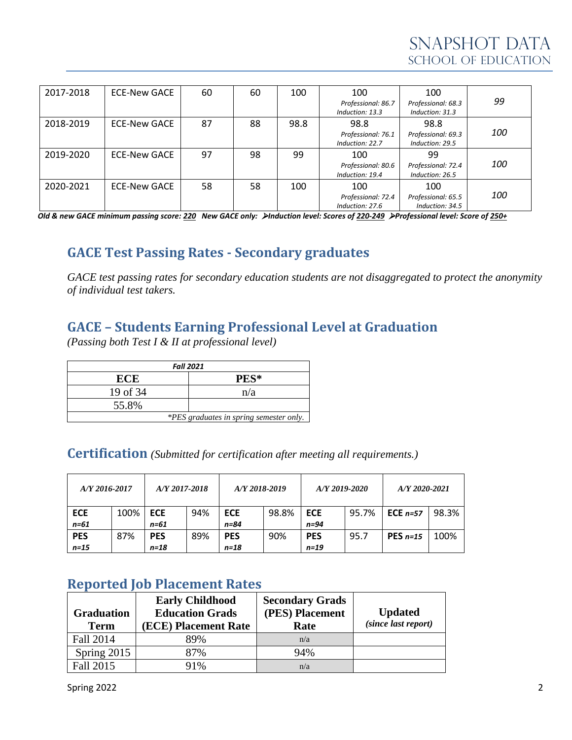| 2017-2018 | ECE-New GACE | 60 | 60 | 100  | 100                                   | 100                                   |            |
|-----------|--------------|----|----|------|---------------------------------------|---------------------------------------|------------|
|           |              |    |    |      | Professional: 86.7<br>Induction: 13.3 | Professional: 68.3<br>Induction: 31.3 | 99         |
| 2018-2019 | ECE-New GACE | 87 | 88 | 98.8 | 98.8                                  | 98.8                                  |            |
|           |              |    |    |      | Professional: 76.1<br>Induction: 22.7 | Professional: 69.3<br>Induction: 29.5 | <i>100</i> |
| 2019-2020 | ECE-New GACE | 97 | 98 | 99   | 100                                   | 99                                    |            |
|           |              |    |    |      | Professional: 80.6<br>Induction: 19.4 | Professional: 72.4<br>Induction: 26.5 | <i>100</i> |
| 2020-2021 | ECE-New GACE | 58 | 58 | 100  | 100                                   | 100                                   |            |
|           |              |    |    |      | Professional: 72.4<br>Induction: 27.6 | Professional: 65.5<br>Induction: 34.5 | <i>100</i> |

*Old & new GACE minimum passing score: 220 New GACE only:* ➢*Induction level: Scores of 220-249* ➢*Professional level: Score of 250+*

# **GACE Test Passing Rates - Secondary graduates**

*GACE test passing rates for secondary education students are not disaggregated to protect the anonymity of individual test takers.*

# **GACE – Students Earning Professional Level at Graduation**

*(Passing both Test I & II at professional level)*

| <b>Fall 2021</b>                        |      |  |  |  |  |
|-----------------------------------------|------|--|--|--|--|
| ECE                                     | PES* |  |  |  |  |
| 19 of 34                                | n/a  |  |  |  |  |
| 55.8%                                   |      |  |  |  |  |
| *PES graduates in spring semester only. |      |  |  |  |  |

### **Certification** *(Submitted for certification after meeting all requirements.)*

| A/Y 2016-2017 |      | A/Y 2017-2018 |     | A/Y 2018-2019 |       | $A/Y$ 2019-2020 |       | $A/Y$ 2020-2021 |       |
|---------------|------|---------------|-----|---------------|-------|-----------------|-------|-----------------|-------|
| <b>ECE</b>    | 100% | <b>ECE</b>    | 94% | <b>ECE</b>    | 98.8% | <b>ECE</b>      | 95.7% | ECE $n=57$      | 98.3% |
| $n = 61$      |      | n=61          |     | n=84          |       | $n=94$          |       |                 |       |
| <b>PES</b>    | 87%  | <b>PES</b>    | 89% | <b>PES</b>    | 90%   | <b>PES</b>      | 95.7  | PES $n=15$      | 100%  |
| $n=15$        |      | n=18          |     | n=18          |       | $n = 19$        |       |                 |       |

## **Reported Job Placement Rates**

| <b>Graduation</b><br><b>Term</b> | <b>Early Childhood</b><br><b>Education Grads</b><br>(ECE) Placement Rate | <b>Secondary Grads</b><br>(PES) Placement<br>Rate | <b>Updated</b><br>(since last report) |
|----------------------------------|--------------------------------------------------------------------------|---------------------------------------------------|---------------------------------------|
| Fall 2014                        | 89%                                                                      | n/a                                               |                                       |
| Spring 2015                      | 87%                                                                      | 94%                                               |                                       |
| Fall 2015                        | 91%                                                                      | n/a                                               |                                       |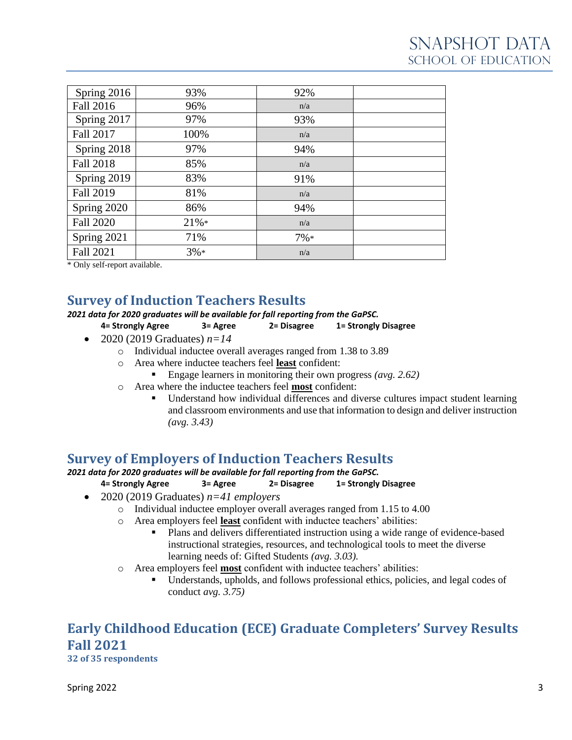| Spring 2016      | 93%    | 92%    |  |
|------------------|--------|--------|--|
| Fall 2016        | 96%    | n/a    |  |
| Spring 2017      | 97%    | 93%    |  |
| <b>Fall 2017</b> | 100%   | n/a    |  |
| Spring 2018      | 97%    | 94%    |  |
| <b>Fall 2018</b> | 85%    | n/a    |  |
| Spring 2019      | 83%    | 91%    |  |
| Fall 2019        | 81%    | n/a    |  |
| Spring 2020      | 86%    | 94%    |  |
| <b>Fall 2020</b> | 21%    | n/a    |  |
| Spring 2021      | 71%    | $7\%*$ |  |
| Fall 2021        | $3\%*$ | n/a    |  |

\* Only self-report available.

## **Survey of Induction Teachers Results**

#### *2021 data for 2020 graduates will be available for fall reporting from the GaPSC.*

- **4= Strongly Agree 3= Agree 2= Disagree 1= Strongly Disagree**
- 2020 (2019 Graduates)  $n=14$ 
	- o Individual inductee overall averages ranged from 1.38 to 3.89
	- o Area where inductee teachers feel **least** confident:
		- Engage learners in monitoring their own progress *(avg. 2.62)*
	- o Area where the inductee teachers feel **most** confident:
		- Understand how individual differences and diverse cultures impact student learning and classroom environments and use that information to design and deliver instruction *(avg. 3.43)*

## **Survey of Employers of Induction Teachers Results**

*2021 data for 2020 graduates will be available for fall reporting from the GaPSC.*

**4= Strongly Agree 3= Agree 2= Disagree 1= Strongly Disagree**

- 2020 (2019 Graduates) *n=41 employers*
	- o Individual inductee employer overall averages ranged from 1.15 to 4.00
	- o Area employers feel **least** confident with inductee teachers' abilities:
		- Plans and delivers differentiated instruction using a wide range of evidence-based instructional strategies, resources, and technological tools to meet the diverse learning needs of: Gifted Students *(avg. 3.03).*
	- o Area employers feel **most** confident with inductee teachers' abilities:
		- Understands, upholds, and follows professional ethics, policies, and legal codes of conduct *avg. 3.75)*

# **Early Childhood Education (ECE) Graduate Completers' Survey Results Fall 2021**

**32 of 35 respondents**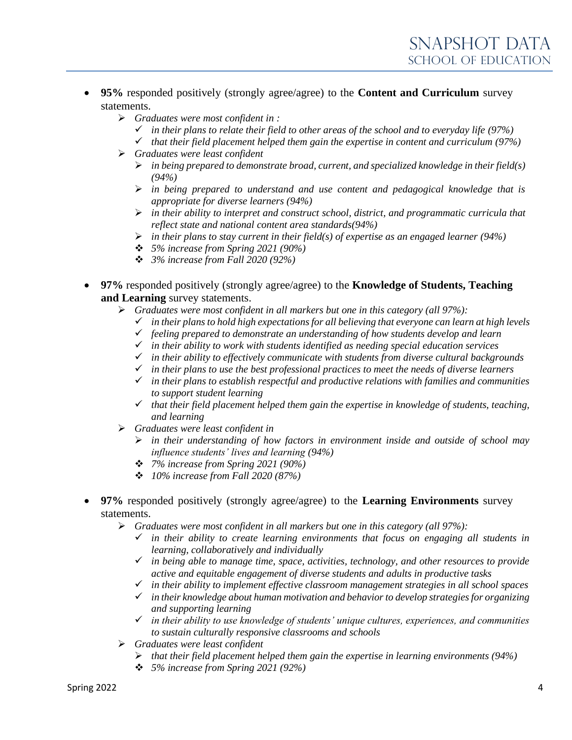- **95%** responded positively (strongly agree/agree) to the **Content and Curriculum** survey statements.
	- ➢ *Graduates were most confident in :*
		- ✓ *in their plans to relate their field to other areas of the school and to everyday life (97%)*
		- ✓ *that their field placement helped them gain the expertise in content and curriculum (97%)*
	- ➢ *Graduates were least confident*
		- ➢ *in being prepared to demonstrate broad, current, and specialized knowledge in their field(s) (94%)*
		- ➢ *in being prepared to understand and use content and pedagogical knowledge that is appropriate for diverse learners (94%)*
		- ➢ *in their ability to interpret and construct school, district, and programmatic curricula that reflect state and national content area standards(94%)*
		- ➢ *in their plans to stay current in their field(s) of expertise as an engaged learner (94%)*
		- ❖ *5% increase from Spring 2021 (90%)*
		- ❖ *3% increase from Fall 2020 (92%)*
- **97%** responded positively (strongly agree/agree) to the **Knowledge of Students, Teaching and Learning** survey statements.
	- ➢ *Graduates were most confident in all markers but one in this category (all 97%):*
		- ✓ *in their plans to hold high expectations for all believing that everyone can learn at high levels*
		- ✓ *feeling prepared to demonstrate an understanding of how students develop and learn*
		- ✓ *in their ability to work with students identified as needing special education services*
		- ✓ *in their ability to effectively communicate with students from diverse cultural backgrounds*
		- ✓ *in their plans to use the best professional practices to meet the needs of diverse learners*
		- ✓ *in their plans to establish respectful and productive relations with families and communities to support student learning*
		- ✓ *that their field placement helped them gain the expertise in knowledge of students, teaching, and learning*
	- ➢ *Graduates were least confident in*
		- ➢ *in their understanding of how factors in environment inside and outside of school may influence students' lives and learning (94%)*
		- ❖ *7% increase from Spring 2021 (90%)*
		- ❖ *10% increase from Fall 2020 (87%)*
- **97%** responded positively (strongly agree/agree) to the **Learning Environments** survey statements.
	- ➢ *Graduates were most confident in all markers but one in this category (all 97%):*
		- ✓ *in their ability to create learning environments that focus on engaging all students in learning, collaboratively and individually*
		- ✓ *in being able to manage time, space, activities, technology, and other resources to provide active and equitable engagement of diverse students and adults in productive tasks*
		- ✓ *in their ability to implement effective classroom management strategies in all school spaces*
		- ✓ *in their knowledge about human motivation and behavior to develop strategies for organizing and supporting learning*
		- ✓ *in their ability to use knowledge of students' unique cultures, experiences, and communities to sustain culturally responsive classrooms and schools*
	- ➢ *Graduates were least confident*
		- ➢ *that their field placement helped them gain the expertise in learning environments (94%)*
		- ❖ *5% increase from Spring 2021 (92%)*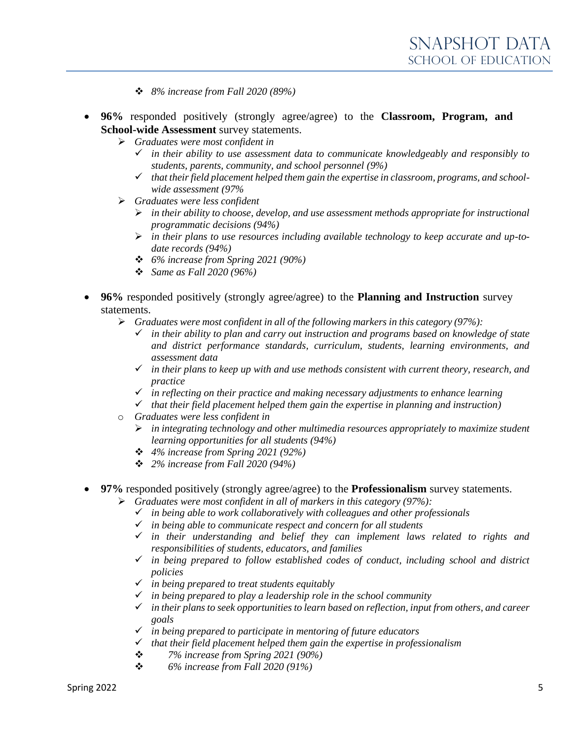- ❖ *8% increase from Fall 2020 (89%)*
- **96%** responded positively (strongly agree/agree) to the **Classroom, Program, and School-wide Assessment** survey statements.
	- ➢ *Graduates were most confident in*
		- ✓ *in their ability to use assessment data to communicate knowledgeably and responsibly to students, parents, community, and school personnel (9%)*
		- ✓ *that their field placement helped them gain the expertise in classroom, programs, and schoolwide assessment (97%*
	- ➢ *Graduates were less confident*
		- ➢ *in their ability to choose, develop, and use assessment methods appropriate for instructional programmatic decisions (94%)*
		- ➢ *in their plans to use resources including available technology to keep accurate and up-todate records (94%)*
		- ❖ *6% increase from Spring 2021 (90%)*
		- ❖ *Same as Fall 2020 (96%)*
- **96%** responded positively (strongly agree/agree) to the **Planning and Instruction** survey statements.
	- ➢ *Graduates were most confident in all of the following markers in this category (97%):*
		- in their ability to plan and carry out instruction and programs based on knowledge of state *and district performance standards, curriculum, students, learning environments, and assessment data*
		- ✓ *in their plans to keep up with and use methods consistent with current theory, research, and practice*
		- ✓ *in reflecting on their practice and making necessary adjustments to enhance learning*
		- ✓ *that their field placement helped them gain the expertise in planning and instruction)*
	- o *Graduates were less confident in*
		- ➢ *in integrating technology and other multimedia resources appropriately to maximize student learning opportunities for all students (94%)*
		- ❖ *4% increase from Spring 2021 (92%)*
		- ❖ *2% increase from Fall 2020 (94%)*
- **97%** responded positively (strongly agree/agree) to the **Professionalism** survey statements.
	- ➢ *Graduates were most confident in all of markers in this category (97%):*
		- ✓ *in being able to work collaboratively with colleagues and other professionals*
		- ✓ *in being able to communicate respect and concern for all students*
		- ✓ *in their understanding and belief they can implement laws related to rights and responsibilities of students, educators, and families*
		- ✓ *in being prepared to follow established codes of conduct, including school and district policies*
		- ✓ *in being prepared to treat students equitably*
		- ✓ *in being prepared to play a leadership role in the school community*
		- ✓ *in their plans to seek opportunities to learn based on reflection, input from others, and career goals*
		- ✓ *in being prepared to participate in mentoring of future educators*
		- ✓ *that their field placement helped them gain the expertise in professionalism*
		- ❖ *7% increase from Spring 2021 (90%)*
		- ❖ *6% increase from Fall 2020 (91%)*